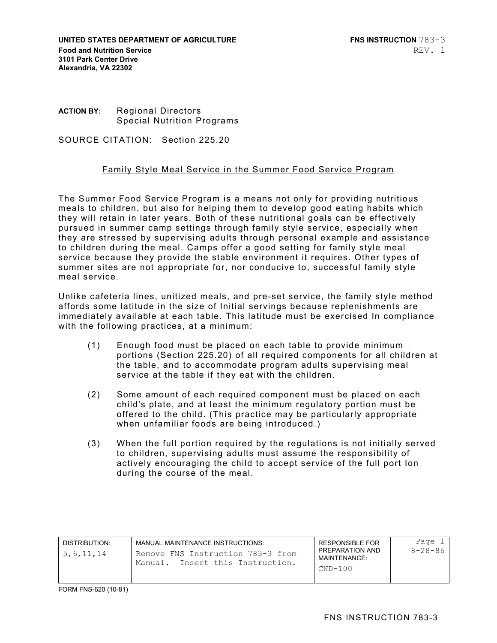**UNITED STATES DEPARTMENT OF AGRICULTURE FIND RESOLUTION 783-3 Food and Nutrition Service 3101 Park Center Drive Alexandria, VA 22302** 

## **ACTION BY:** Regional Directors Special Nutrition Programs

SOURCE CITATION: Section 225.20

## Family Style Meal Service in the Summer Food Service Program

The Summer Food Service Program is a means not only for providing nutritious meals to children, but also for helping them to develop good eating habits which they will retain in later years. Both of these nutritional goals can be effectively pursued in summer camp settings through family style service, especially when they are stressed by supervising adults through personal example and assistance to children during the meal. Camps offer a good setting for family style meal service because they provide the stable environment it requires. Other types of summer sites are not appropriate for, nor conducive to, successful family style meal service.

Unlike cafeteria lines, unitized meals, and pre-set service, the family style method affords some latitude in the size of Initial servings because replenishments are immediately available at each table. This latitude must be exercised In compliance with the following practices, at a minimum:

- (1) Enough food must be placed on each table to provide minimum portions (Section 225.20) of all required components for all children at the table, and to accommodate program adults supervising meal service at the table if they eat with the children.
- (2) Some amount of each required component must be placed on each child's plate, and at least the minimum regulatory portion must be offered to the child. (This practice may be particularly appropriate when unfamiliar foods are being introduced.)
- (3) When the full portion required by the regulations is not initially served to children, supervising adults must assume the responsibility of actively encouraging the child to accept service of the full port Ion during the course of the meal.

| DISTRIBUTION:<br>5, 6, 11, 14 | MANUAL MAINTENANCE INSTRUCTIONS:<br>Remove FNS Instruction 783-3 from<br>Manual. Insert this Instruction. | <b>RESPONSIBLE FOR</b><br>PREPARATION AND<br>MAINTFNANCF <sup>.</sup><br>$CND-100$ | Page 1<br>$8 - 28 - 86$ |
|-------------------------------|-----------------------------------------------------------------------------------------------------------|------------------------------------------------------------------------------------|-------------------------|
|                               |                                                                                                           |                                                                                    |                         |

FORM FNS-620 (10-81)